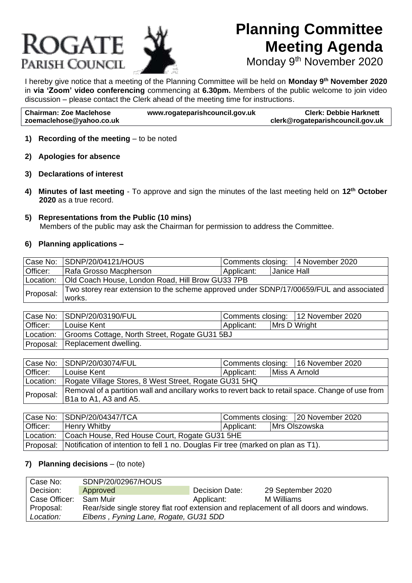# ROGATE Parish Council

## **Planning Committee Meeting Agenda**

Monday 9<sup>th</sup> November 2020

I hereby give notice that a meeting of the Planning Committee will be held on **Monday 9 th November 2020** in **via 'Zoom' video conferencing** commencing at **6.30pm.** Members of the public welcome to join video discussion – please contact the Clerk ahead of the meeting time for instructions.

| <b>Chairman: Zoe Maclehose</b> | www.rogateparishcouncil.gov.uk | <b>Clerk: Debbie Harknett</b>    |
|--------------------------------|--------------------------------|----------------------------------|
| zoemaclehose@yahoo.co.uk       |                                | clerk@rogateparishcouncil.gov.uk |

#### **1) Recording of the meeting** – to be noted

- **2) Apologies for absence**
- **3) Declarations of interest**
- **4) Minutes of last meeting**  To approve and sign the minutes of the last meeting held on **12th October 2020** as a true record.

#### **5) Representations from the Public (10 mins)**

Members of the public may ask the Chairman for permission to address the Committee.

#### **6) Planning applications –**

|           | Case No: SDNP/20/04121/HOUS                                                             | Comments closing: 4 November 2020 |             |  |  |
|-----------|-----------------------------------------------------------------------------------------|-----------------------------------|-------------|--|--|
| Officer:  | Rafa Grosso Macpherson                                                                  | Applicant:                        | Janice Hall |  |  |
|           | Location:   Old Coach House, London Road, Hill Brow GU33 7PB                            |                                   |             |  |  |
| Proposal: | Two storey rear extension to the scheme approved under SDNP/17/00659/FUL and associated |                                   |             |  |  |
|           | works.                                                                                  |                                   |             |  |  |

|          | Case No: SDNP/20/03190/FUL                              | Comments closing: 12 November 2020 |  |              |  |
|----------|---------------------------------------------------------|------------------------------------|--|--------------|--|
| Officer: | Louise Kent                                             | Applicant:                         |  | Mrs D Wright |  |
|          | Location: Grooms Cottage, North Street, Rogate GU31 5BJ |                                    |  |              |  |
|          | Proposal: Replacement dwelling.                         |                                    |  |              |  |

|           | Case No: SDNP/20/03074/FUL                                                                         | Comments closing: 16 November 2020 |  |               |
|-----------|----------------------------------------------------------------------------------------------------|------------------------------------|--|---------------|
| Officer:  | Louise Kent                                                                                        | Applicant:                         |  | Miss A Arnold |
| Location: | Rogate Village Stores, 8 West Street, Rogate GU31 5HQ                                              |                                    |  |               |
| Proposal: | Removal of a partition wall and ancillary works to revert back to retail space. Change of use from |                                    |  |               |
|           | B1a to A1, A3 and A5.                                                                              |                                    |  |               |

|          | Case No: SDNP/20/04347/TCA                                                                 | Comments closing: 20 November 2020 |  |               |  |
|----------|--------------------------------------------------------------------------------------------|------------------------------------|--|---------------|--|
| Officer: | <b>Henry Whitby</b>                                                                        | Applicant:                         |  | Mrs Olszowska |  |
|          | Location: Coach House, Red House Court, Rogate GU31 5HE                                    |                                    |  |               |  |
|          | Proposal: Notification of intention to fell 1 no. Douglas Fir tree (marked on plan as T1). |                                    |  |               |  |

#### **7) Planning decisions** – (to note)

| l Case No:    | SDNP/20/02967/HOUS                    |                |                                                                                       |
|---------------|---------------------------------------|----------------|---------------------------------------------------------------------------------------|
| Decision:     | Approved                              | Decision Date: | 29 September 2020                                                                     |
| Case Officer: | -Sam Muir                             | Applicant:     | M Williams                                                                            |
| Proposal:     |                                       |                | Rear/side single storey flat roof extension and replacement of all doors and windows. |
| Location:     | Elbens, Fyning Lane, Rogate, GU31 5DD |                |                                                                                       |